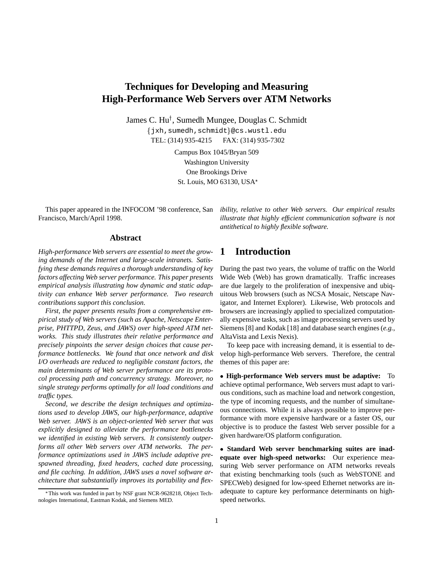# **Techniques for Developing and Measuring High-Performance Web Servers over ATM Networks**

James C. Hu<sup>†</sup>, Sumedh Mungee, Douglas C. Schmidt

fjxh,sumedh,schmidtg@cs.wustl.edu TEL: (314) 935-4215 FAX: (314) 935-7302

> Campus Box 1045/Bryan 509 Washington University One Brookings Drive St. Louis, MO 63130, USA

This paper appeared in the INFOCOM '98 conference, San Francisco, March/April 1998.

**Abstract**

*High-performance Web servers are essential to meet the growing demands of the Internet and large-scale intranets. Satisfying these demands requires a thorough understanding of key factors affecting Web server performance. This paper presents empirical analysis illustrating how dynamic and static adaptivity can enhance Web server performance. Two research contributions support this conclusion.*

*First, the paper presents results from a comprehensive empirical study of Web servers (such as Apache, Netscape Enterprise, PHTTPD, Zeus, and JAWS) over high-speed ATM networks. This study illustrates their relative performance and precisely pinpoints the server design choices that cause performance bottlenecks. We found that once network and disk I/O overheads are reduced to negligible constant factors, the main determinants of Web server performance are its protocol processing path and concurrency strategy. Moreover, no single strategy performs optimally for all load conditions and traffic types.*

*Second, we describe the design techniques and optimizations used to develop JAWS, our high-performance, adaptive Web server. JAWS is an object-oriented Web server that was explicitly designed to alleviate the performance bottlenecks we identified in existing Web servers. It consistently outperforms all other Web servers over ATM networks. The performance optimizations used in JAWS include adaptive prespawned threading, fixed headers, cached date processing, and file caching. In addition, JAWS uses a novel software architecture that substantially improves its portability and flex-* *ibility, relative to other Web servers. Our empirical results illustrate that highly efficient communication software is not antithetical to highly flexible software.*

## **1 Introduction**

During the past two years, the volume of traffic on the World Wide Web (Web) has grown dramatically. Traffic increases are due largely to the proliferation of inexpensive and ubiquitous Web browsers (such as NCSA Mosaic, Netscape Navigator, and Internet Explorer). Likewise, Web protocols and browsers are increasingly applied to specialized computationally expensive tasks, such as image processing servers used by Siemens [8] and Kodak [18] and database search engines (*e.g.*, AltaVista and Lexis Nexis).

To keep pace with increasing demand, it is essential to develop high-performance Web servers. Therefore, the central themes of this paper are:

 **High-performance Web servers must be adaptive:** To achieve optimal performance, Web servers must adapt to various conditions, such as machine load and network congestion, the type of incoming requests, and the number of simultaneous connections. While it is always possible to improve performance with more expensive hardware or a faster OS, our objective is to produce the fastest Web server possible for a given hardware/OS platform configuration.

 **Standard Web server benchmarking suites are inadequate over high-speed networks:** Our experience measuring Web server performance on ATM networks reveals that existing benchmarking tools (such as WebSTONE and SPECWeb) designed for low-speed Ethernet networks are inadequate to capture key performance determinants on highspeed networks.

This work was funded in part by NSF grant NCR-9628218, Object Technologies International, Eastman Kodak, and Siemens MED.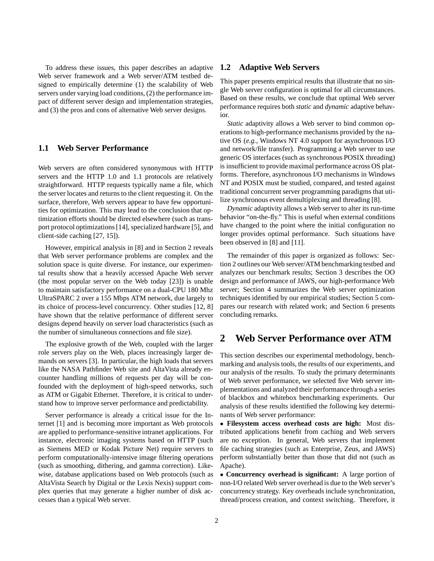To address these issues, this paper describes an adaptive Web server framework and a Web server/ATM testbed designed to empirically determine (1) the scalability of Web servers under varying load conditions, (2) the performance impact of different server design and implementation strategies, and (3) the pros and cons of alternative Web server designs.

## **1.1 Web Server Performance**

Web servers are often considered synonymous with HTTP servers and the HTTP 1.0 and 1.1 protocols are relatively straightforward. HTTP requests typically name a file, which the server locates and returns to the client requesting it. On the surface, therefore, Web servers appear to have few opportunities for optimization. This may lead to the conclusion that optimization efforts should be directed elsewhere (such as transport protocol optimizations [14], specialized hardware [5], and client-side caching [27, 15]).

However, empirical analysis in [8] and in Section 2 reveals that Web server performance problems are complex and the solution space is quite diverse. For instance, our experimental results show that a heavily accessed Apache Web server (the most popular server on the Web today [23]) is unable to maintain satisfactory performance on a dual-CPU 180 Mhz UltraSPARC 2 over a 155 Mbps ATM network, due largely to its choice of process-level concurrency. Other studies [12, 8] have shown that the relative performance of different server designs depend heavily on server load characteristics (such as the number of simultaneous connections and file size).

The explosive growth of the Web, coupled with the larger role servers play on the Web, places increasingly larger demands on servers [3]. In particular, the high loads that servers like the NASA Pathfinder Web site and AltaVista already encounter handling millions of requests per day will be confounded with the deployment of high-speed networks, such as ATM or Gigabit Ethernet. Therefore, it is critical to understand how to improve server performance and predictability.

Server performance is already a critical issue for the Internet [1] and is becoming more important as Web protocols are applied to performance-sensitive intranet applications. For instance, electronic imaging systems based on HTTP (such as Siemens MED or Kodak Picture Net) require servers to perform computationally-intensive image filtering operations (such as smoothing, dithering, and gamma correction). Likewise, database applications based on Web protocols (such as AltaVista Search by Digital or the Lexis Nexis) support complex queries that may generate a higher number of disk accesses than a typical Web server.

### **1.2 Adaptive Web Servers**

This paper presents empirical results that illustrate that no single Web server configuration is optimal for all circumstances. Based on these results, we conclude that optimal Web server performance requires both *static* and *dynamic* adaptive behavior.

*Static* adaptivity allows a Web server to bind common operations to high-performance mechanisms provided by the native OS (*e.g.*, Windows NT 4.0 support for asynchronous I/O and network/file transfer). Programming a Web server to use generic OS interfaces (such as synchronous POSIX threading) is insufficient to provide maximal performance across OS platforms. Therefore, asynchronous I/O mechanisms in Windows NT and POSIX must be studied, compared, and tested against traditional concurrent server programming paradigms that utilize synchronous event demultiplexing and threading [8].

*Dynamic* adaptivity allows a Web server to alter its run-time behavior "on-the-fly." This is useful when external conditions have changed to the point where the initial configuration no longer provides optimal performance. Such situations have been observed in [8] and [11].

The remainder of this paper is organized as follows: Section 2 outlines our Web server/ATM benchmarking testbed and analyzes our benchmark results; Section 3 describes the OO design and performance of JAWS, our high-performance Web server; Section 4 summarizes the Web server optimization techniques identified by our empirical studies; Section 5 compares our research with related work; and Section 6 presents concluding remarks.

## **2 Web Server Performance over ATM**

This section describes our experimental methodology, benchmarking and analysis tools, the results of our experiments, and our analysis of the results. To study the primary determinants of Web server performance, we selected five Web server implementations and analyzed their performance through a series of blackbox and whitebox benchmarking experiments. Our analysis of these results identified the following key determinants of Web server performance:

 **Filesystem access overhead costs are high:** Most distributed applications benefit from caching and Web servers are no exception. In general, Web servers that implement file caching strategies (such as Enterprise, Zeus, and JAWS) perform substantially better than those that did not (such as Apache).

 **Concurrency overhead is significant:** A large portion of non-I/O related Web server overhead is due to the Web server's concurrency strategy. Key overheads include synchronization, thread/process creation, and context switching. Therefore, it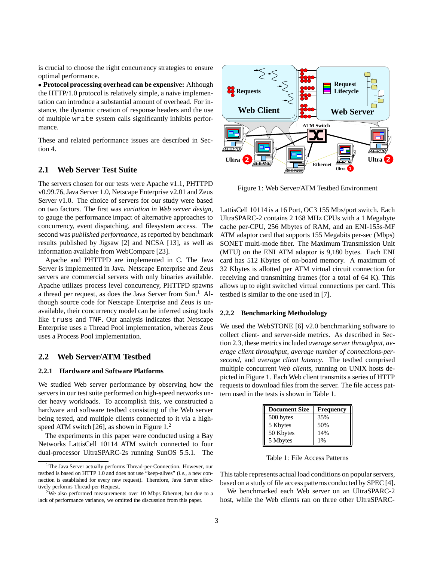is crucial to choose the right concurrency strategies to ensure optimal performance.

 **Protocol processing overhead can be expensive:** Although the HTTP/1.0 protocol is relatively simple, a naive implementation can introduce a substantial amount of overhead. For instance, the dynamic creation of response headers and the use of multiple write system calls significantly inhibits performance.

These and related performance issues are described in Section 4.

### **2.1 Web Server Test Suite**

The servers chosen for our tests were Apache v1.1, PHTTPD v0.99.76, Java Server 1.0, Netscape Enterprise v2.01 and Zeus Server v1.0. The choice of servers for our study were based on two factors. The first was *variation in Web server design*, to gauge the performance impact of alternative approaches to concurrency, event dispatching, and filesystem access. The second was *published performance*, as reported by benchmark results published by Jigsaw [2] and NCSA [13], as well as information available from WebCompare [23].

Apache and PHTTPD are implemented in C. The Java Server is implemented in Java. Netscape Enterprise and Zeus servers are commercial servers with only binaries available. Apache utilizes process level concurrency, PHTTPD spawns a thread per request, as does the Java Server from Sun.<sup>1</sup> Although source code for Netscape Enterprise and Zeus is unavailable, their concurrency model can be inferred using tools like truss and TNF. Our analysis indicates that Netscape Enterprise uses a Thread Pool implementation, whereas Zeus uses a Process Pool implementation.

#### **2.2 Web Server/ATM Testbed**

#### **2.2.1 Hardware and Software Platforms**

We studied Web server performance by observing how the servers in our test suite performed on high-speed networks under heavy workloads. To accomplish this, we constructed a hardware and software testbed consisting of the Web server being tested, and multiple clients connected to it via a highspeed ATM switch [26], as shown in Figure 1.<sup>2</sup>

The experiments in this paper were conducted using a Bay Networks LattisCell 10114 ATM switch connected to four dual-processor UltraSPARC-2s running SunOS 5.5.1. The



Figure 1: Web Server/ATM Testbed Environment

LattisCell 10114 is a 16 Port, OC3 155 Mbs/port switch. Each UltraSPARC-2 contains 2 168 MHz CPUs with a 1 Megabyte cache per-CPU, 256 Mbytes of RAM, and an ENI-155s-MF ATM adaptor card that supports 155 Megabits per-sec (Mbps) SONET multi-mode fiber. The Maximum Transmission Unit (MTU) on the ENI ATM adaptor is 9,180 bytes. Each ENI card has 512 Kbytes of on-board memory. A maximum of 32 Kbytes is allotted per ATM virtual circuit connection for receiving and transmitting frames (for a total of 64 K). This allows up to eight switched virtual connections per card. This testbed is similar to the one used in [7].

#### **2.2.2 Benchmarking Methodology**

We used the WebSTONE [6] v2.0 benchmarking software to collect client- and server-side metrics. As described in Section 2.3, these metrics included *average server throughput*, *average client throughput*, *average number of connections-persecond*, and *average client latency*. The testbed comprised multiple concurrent *Web clients*, running on UNIX hosts depicted in Figure 1. Each Web client transmits a series of HTTP requests to download files from the server. The file access pattern used in the tests is shown in Table 1.

| <b>Document Size</b> | <b>Frequency</b> |
|----------------------|------------------|
| 500 bytes            | 35%              |
| 5 Kbytes             | 50%              |
| 50 Kbytes            | 14%              |
| 5 Mbytes             | 1%               |

Table 1: File Access Patterns

This table represents actual load conditions on popular servers, based on a study of file access patterns conducted by SPEC [4].

We benchmarked each Web server on an UltraSPARC-2 host, while the Web clients ran on three other UltraSPARC-

<sup>&</sup>lt;sup>1</sup>The Java Server actually performs Thread-per-Connection. However, our testbed is based on HTTP 1.0 and does not use "keep-alives" (*i.e.*, a new connection is established for every new request). Therefore, Java Server effectively performs Thread-per-Request.

 $2$ We also performed measurements over 10 Mbps Ethernet, but due to a lack of performance variance, we omitted the discussion from this paper.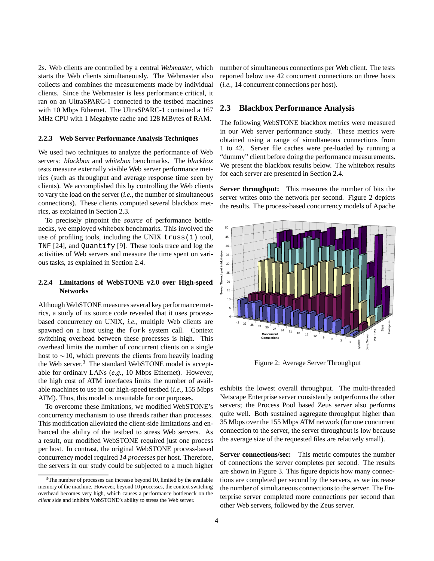2s. Web clients are controlled by a central *Webmaster*, which starts the Web clients simultaneously. The Webmaster also collects and combines the measurements made by individual clients. Since the Webmaster is less performance critical, it ran on an UltraSPARC-1 connected to the testbed machines with 10 Mbps Ethernet. The UltraSPARC-1 contained a 167 MHz CPU with 1 Megabyte cache and 128 MBytes of RAM.

#### **2.2.3 Web Server Performance Analysis Techniques**

We used two techniques to analyze the performance of Web servers: *blackbox* and *whitebox* benchmarks. The *blackbox* tests measure externally visible Web server performance metrics (such as throughput and average response time seen by clients). We accomplished this by controlling the Web clients to vary the load on the server (*i.e.*, the number of simultaneous connections). These clients computed several blackbox metrics, as explained in Section 2.3.

To precisely pinpoint the *source* of performance bottlenecks, we employed whitebox benchmarks. This involved the use of profiling tools, including the UNIX truss(1) tool, TNF [24], and Quantify [9]. These tools trace and log the activities of Web servers and measure the time spent on various tasks, as explained in Section 2.4.

### **2.2.4 Limitations of WebSTONE v2.0 over High-speed Networks**

Although WebSTONE measures several key performance metrics, a study of its source code revealed that it uses processbased concurrency on UNIX, *i.e.*, multiple Web clients are spawned on a host using the fork system call. Context switching overhead between these processes is high. This overhead limits the number of concurrent clients on a single host to  $\sim$ 10, which prevents the clients from heavily loading the Web server.<sup>3</sup> The standard WebSTONE model is acceptable for ordinary LANs (*e.g.*, 10 Mbps Ethernet). However, the high cost of ATM interfaces limits the number of available machines to use in our high-speed testbed (*i.e.*, 155 Mbps ATM). Thus, this model is unsuitable for our purposes.

To overcome these limitations, we modified WebSTONE's concurrency mechanism to use threads rather than processes. This modification alleviated the client-side limitations and enhanced the ability of the testbed to stress Web servers. As a result, our modified WebSTONE required just one process per host. In contrast, the original WebSTONE process-based concurrency model required *14 processes* per host. Therefore, the servers in our study could be subjected to a much higher

number of simultaneous connections per Web client. The tests reported below use 42 concurrent connections on three hosts (*i.e.*, 14 concurrent connections per host).

#### **2.3 Blackbox Performance Analysis**

The following WebSTONE blackbox metrics were measured in our Web server performance study. These metrics were obtained using a range of simultaneous connections from 1 to 42. Server file caches were pre-loaded by running a "dummy" client before doing the performance measurements. We present the blackbox results below. The whitebox results for each server are presented in Section 2.4.

**Server throughput:** This measures the number of bits the server writes onto the network per second. Figure 2 depicts the results. The process-based concurrency models of Apache



Figure 2: Average Server Throughput

exhibits the lowest overall throughput. The multi-threaded Netscape Enterprise server consistently outperforms the other servers; the Process Pool based Zeus server also performs quite well. Both sustained aggregate throughput higher than 35 Mbps over the 155 Mbps ATM network (for one concurrent connection to the server, the server throughput is low because the average size of the requested files are relatively small).

**Server connections/sec:** This metric computes the number of connections the server completes per second. The results are shown in Figure 3. This figure depicts how many connections are completed per second by the servers, as we increase the number of simultaneous connections to the server. The Enterprise server completed more connections per second than other Web servers, followed by the Zeus server.

 $3$ The number of processes can increase beyond 10, limited by the available memory of the machine. However, beyond 10 processes, the context switching overhead becomes very high, which causes a performance bottleneck on the *client* side and inhibits WebSTONE's ability to stress the Web server.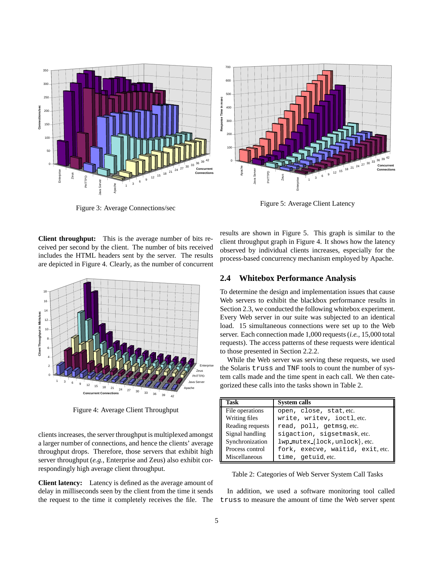

Figure 3: Average Connections/sec



Figure 5: Average Client Latency

**Client throughput:** This is the average number of bits received per second by the client. The number of bits received includes the HTML headers sent by the server. The results are depicted in Figure 4. Clearly, as the number of concurrent



Figure 4: Average Client Throughput

clients increases, the server throughput is multiplexed amongst a larger number of connections, and hence the clients' average throughput drops. Therefore, those servers that exhibit high server throughput (*e.g.*, Enterprise and Zeus) also exhibit correspondingly high average client throughput.

**Client latency:** Latency is defined as the average amount of delay in milliseconds seen by the client from the time it sends the request to the time it completely receives the file. The results are shown in Figure 5. This graph is similar to the client throughput graph in Figure 4. It shows how the latency observed by individual clients increases, especially for the process-based concurrency mechanism employed by Apache.

## **2.4 Whitebox Performance Analysis**

To determine the design and implementation issues that cause Web servers to exhibit the blackbox performance results in Section 2.3, we conducted the following whitebox experiment. Every Web server in our suite was subjected to an identical load. 15 simultaneous connections were set up to the Web server. Each connection made 1,000 requests (*i.e.*, 15,000 total requests). The access patterns of these requests were identical to those presented in Section 2.2.2.

While the Web server was serving these requests, we used the Solaris truss and TNF tools to count the number of system calls made and the time spent in each call. We then categorized these calls into the tasks shown in Table 2.

| Task             | <b>System calls</b>              |  |
|------------------|----------------------------------|--|
| File operations  | open, close, stat, etc.          |  |
| Writing files    | write, writev, ioctl, etc.       |  |
| Reading requests | read, poll, getmsg.etc.          |  |
| Signal handling  | sigaction, sigsetmask, etc.      |  |
| Synchronization  | lwp_mutex_{lock, unlock}, etc.   |  |
| Process control  | fork, execve, waitid, exit, etc. |  |
| Miscellaneous    | time, getuid.etc.                |  |

Table 2: Categories of Web Server System Call Tasks

In addition, we used a software monitoring tool called truss to measure the amount of time the Web server spent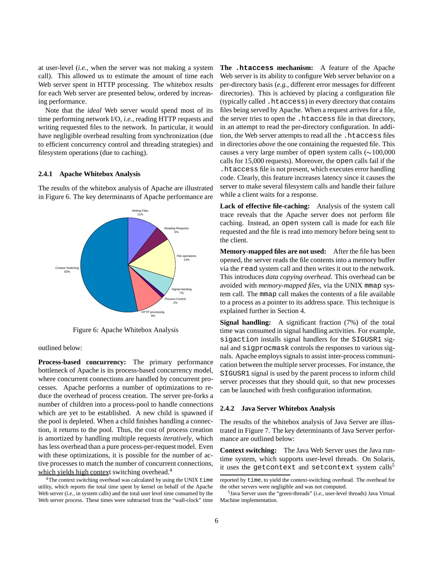at user-level (*i.e.*, when the server was not making a system call). This allowed us to estimate the amount of time each Web server spent in HTTP processing. The whitebox results for each Web server are presented below, ordered by increasing performance.

Note that the *ideal* Web server would spend most of its time performing network I/O, *i.e.*, reading HTTP requests and writing requested files to the network. In particular, it would have negligible overhead resulting from synchronization (due to efficient concurrency control and threading strategies) and filesystem operations (due to caching).

#### **2.4.1 Apache Whitebox Analysis**

The results of the whitebox analysis of Apache are illustrated in Figure 6. The key determinants of Apache performance are



Figure 6: Apache Whitebox Analysis

outlined below:

**Process-based concurrency:** The primary performance bottleneck of Apache is its process-based concurrency model, where concurrent connections are handled by concurrent processes. Apache performs a number of optimizations to reduce the overhead of process creation. The server pre-forks a number of children into a process-pool to handle connections which are yet to be established. A new child is spawned if the pool is depleted. When a child finishes handling a connection, it returns to the pool. Thus, the cost of process creation is amortized by handling multiple requests *iteratively*, which has less overhead than a pure process-per-request model. Even with these optimizations, it is possible for the number of active processes to match the number of concurrent connections, which yields high context switching overhead.<sup>4</sup>

 $4$ The context switching overhead was calculated by using the UNIX  $\tt time$ utility, which reports the total time spent by kernel on behalf of the Apache Web server (*i.e.*, in system calls) and the total user level time consumed by the Web server process. These times were subtracted from the "wall-clock" time **The .htaccess mechanism:** A feature of the Apache Web server is its ability to configure Web server behavior on a per-directory basis (*e.g.*, different error messages for different directories). This is achieved by placing a configuration file (typically called .htaccess) in every directory that contains files being served by Apache. When a request arrives for a file, the server tries to open the .htaccess file in that directory, in an attempt to read the per-directory configuration. In addition, the Web server attempts to read all the .htaccess files in directories *above* the one containing the requested file. This causes a very large number of open system calls  $(\sim 100,000$ calls for 15,000 requests). Moreover, the open calls fail if the .htaccess file is not present, which executes error handling code. Clearly, this feature increases latency since it causes the server to make several filesystem calls and handle their failure while a client waits for a response.

**Lack of effective file-caching:** Analysis of the system call trace reveals that the Apache server does not perform file caching. Instead, an open system call is made for each file requested and the file is read into memory before being sent to the client.

**Memory-mapped files are not used:** After the file has been opened, the server reads the file contents into a memory buffer via the read system call and then writes it out to the network. This introduces *data copying overhead*. This overhead can be avoided with *memory-mapped files*, via the UNIX mmap system call. The mmap call makes the contents of a file available to a process as a pointer to its address space. This technique is explained further in Section 4.

**Signal handling:** A significant fraction (7%) of the total time was consumed in signal handling activities. For example, sigaction installs signal handlers for the SIGUSR1 signal and sigprocmask controls the responses to various signals. Apache employs signals to assist inter-process communication between the multiple server processes. For instance, the SIGUSR1 signal is used by the parent process to inform child server processes that they should quit, so that new processes can be launched with fresh configuration information.

#### **2.4.2 Java Server Whitebox Analysis**

The results of the whitebox analysis of Java Server are illustrated in Figure 7. The key determinants of Java Server performance are outlined below:

**Context switching:** The Java Web Server uses the Java runtime system, which supports user-level threads. On Solaris, it uses the getcontext and setcontext system calls<sup>5</sup>

reported by time, to yield the context-switching overhead. The overhead for the other servers were negligible and was not computed.

<sup>5</sup>Java Server uses the "green-threads" (*i.e.*, user-level threads) Java Virtual Machine implementation.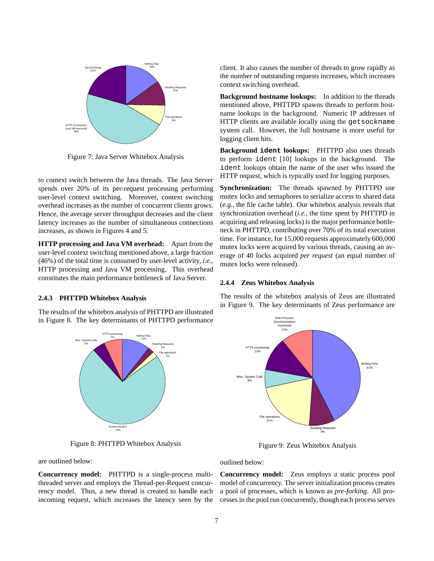

Figure 7: Java Server Whitebox Analysis

to context switch between the Java threads. The Java Server spends over 20% of its per-request processing performing user-level context switching. Moreover, context switching overhead increases as the number of concurrent clients grows. Hence, the average server throughput decreases and the client latency increases as the number of simultaneous connections increases, as shown in Figures 4 and 5.

**HTTP processing and Java VM overhead:** Apart from the user-level context switching mentioned above, a large fraction (46%) of the total time is consumed by user-level activity, *i.e.*, HTTP processing and Java VM processing. This overhead constitutes the main performance bottleneck of Java Server.

#### **2.4.3 PHTTPD Whitebox Analysis**

The results of the whitebox analysis of PHTTPD are illustrated in Figure 8. The key determinants of PHTTPD performance



Figure 8: PHTTPD Whitebox Analysis

are outlined below:

**Concurrency model:** PHTTPD is a single-process multithreaded server and employs the Thread-per-Request concurrency model. Thus, a new thread is created to handle each incoming request, which increases the latency seen by the client. It also causes the number of threads to grow rapidly as the number of outstanding requests increases, which increases context switching overhead.

**Background hostname lookups:** In addition to the threads mentioned above, PHTTPD spawns threads to perform hostname lookups in the background. Numeric IP addresses of HTTP clients are available locally using the getsockname system call. However, the full hostname is more useful for logging client hits.

**Background ident lookups:** PHTTPD also uses threads to perform ident [10] lookups in the background. The ident lookups obtain the name of the user who issued the HTTP request, which is typically used for logging purposes.

**Synchronization:** The threads spawned by PHTTPD use mutex locks and semaphores to serialize access to shared data (*e.g.*, the file cache table). Our whitebox analysis reveals that synchronization overhead (*i.e.*, the time spent by PHTTPD in acquiring and releasing locks) is the major performance bottleneck in PHTTPD, contributing over 70% of its total execution time. For instance, for 15,000 requests approximately 600,000 mutex locks were acquired by various threads, causing an average of 40 locks acquired *per request* (an equal number of mutex locks were released).

#### **2.4.4 Zeus Whitebox Analysis**

The results of the whitebox analysis of Zeus are illustrated in Figure 9. The key determinants of Zeus performance are



Figure 9: Zeus Whitebox Analysis

outlined below:

**Concurrency model:** Zeus employs a static process pool model of concurrency. The server initialization process creates a pool of processes, which is known as *pre-forking*. All processes in the pool run concurrently, though each process serves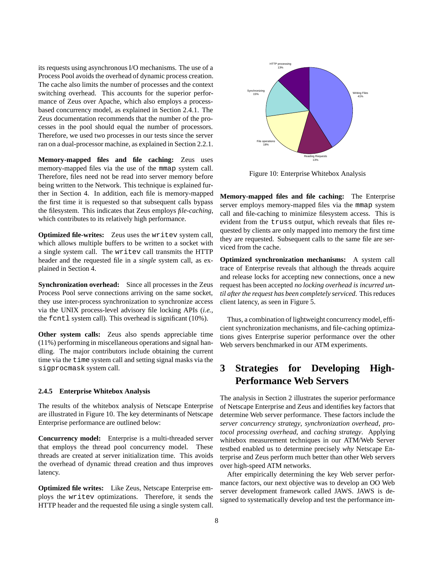its requests using asynchronous I/O mechanisms. The use of a Process Pool avoids the overhead of dynamic process creation. The cache also limits the number of processes and the context switching overhead. This accounts for the superior performance of Zeus over Apache, which also employs a processbased concurrency model, as explained in Section 2.4.1. The Zeus documentation recommends that the number of the processes in the pool should equal the number of processors. Therefore, we used two processes in our tests since the server ran on a dual-processor machine, as explained in Section 2.2.1.

**Memory-mapped files and file caching:** Zeus uses memory-mapped files via the use of the mmap system call. Therefore, files need not be read into server memory before being written to the Network. This technique is explained further in Section 4. In addition, each file is memory-mapped the first time it is requested so that subsequent calls bypass the filesystem. This indicates that Zeus employs *file-caching*, which contributes to its relatively high performance.

**Optimized file-writes:** Zeus uses the writev system call, which allows multiple buffers to be written to a socket with a single system call. The writev call transmits the HTTP header and the requested file in a *single* system call, as explained in Section 4.

**Synchronization overhead:** Since all processes in the Zeus Process Pool serve connections arriving on the same socket, they use inter-process synchronization to synchronize access via the UNIX process-level advisory file locking APIs (*i.e.*, the fcntl system call). This overhead is significant (10%).

**Other system calls:** Zeus also spends appreciable time (11%) performing in miscellaneous operations and signal handling. The major contributors include obtaining the current time via the time system call and setting signal masks via the sigprocmask system call.

#### **2.4.5 Enterprise Whitebox Analysis**

The results of the whitebox analysis of Netscape Enterprise are illustrated in Figure 10. The key determinants of Netscape Enterprise performance are outlined below:

**Concurrency model:** Enterprise is a multi-threaded server that employs the thread pool concurrency model. These threads are created at server initialization time. This avoids the overhead of dynamic thread creation and thus improves latency.

**Optimized file writes:** Like Zeus, Netscape Enterprise employs the writev optimizations. Therefore, it sends the HTTP header and the requested file using a single system call.



Figure 10: Enterprise Whitebox Analysis

**Memory-mapped files and file caching:** The Enterprise server employs memory-mapped files via the mmap system call and file-caching to minimize filesystem access. This is evident from the truss output, which reveals that files requested by clients are only mapped into memory the first time they are requested. Subsequent calls to the same file are serviced from the cache.

**Optimized synchronization mechanisms:** A system call trace of Enterprise reveals that although the threads acquire and release locks for accepting new connections, once a new request has been accepted *no locking overhead is incurred until after the request has been completely serviced.* This reduces client latency, as seen in Figure 5.

Thus, a combination of lightweight concurrency model, efficient synchronization mechanisms, and file-caching optimizations gives Enterprise superior performance over the other Web servers benchmarked in our ATM experiments.

# **3 Strategies for Developing High-Performance Web Servers**

The analysis in Section 2 illustrates the superior performance of Netscape Enterprise and Zeus and identifies key factors that determine Web server performance. These factors include the *server concurrency strategy*, *synchronization overhead*, *protocol processing overhead*, and *caching strategy*. Applying whitebox measurement techniques in our ATM/Web Server testbed enabled us to determine precisely *why* Netscape Enterprise and Zeus perform much better than other Web servers over high-speed ATM networks.

After empirically determining the key Web server performance factors, our next objective was to develop an OO Web server development framework called JAWS. JAWS is designed to systematically develop and test the performance im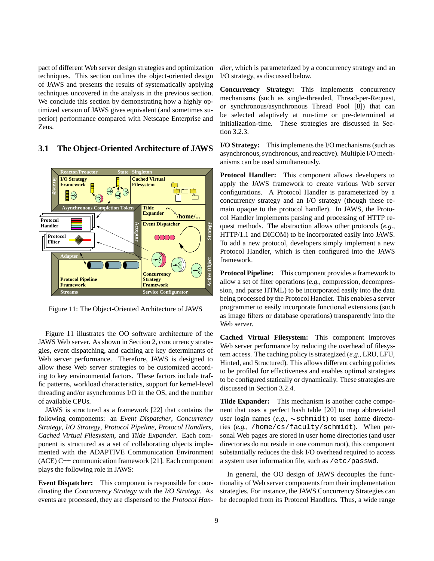pact of different Web server design strategies and optimization techniques. This section outlines the object-oriented design of JAWS and presents the results of systematically applying techniques uncovered in the analysis in the previous section. We conclude this section by demonstrating how a highly optimized version of JAWS gives equivalent (and sometimes superior) performance compared with Netscape Enterprise and Zeus.

## **3.1 The Object-Oriented Architecture of JAWS**



Figure 11: The Object-Oriented Architecture of JAWS

Figure 11 illustrates the OO software architecture of the JAWS Web server. As shown in Section 2, concurrency strategies, event dispatching, and caching are key determinants of Web server performance. Therefore, JAWS is designed to allow these Web server strategies to be customized according to key environmental factors. These factors include traffic patterns, workload characteristics, support for kernel-level threading and/or asynchronous I/O in the OS, and the number of available CPUs.

JAWS is structured as a framework [22] that contains the following components: an *Event Dispatcher*, *Concurrency Strategy*, *I/O Strategy*, *Protocol Pipeline*, *Protocol Handlers*, *Cached Virtual Filesystem*, and *Tilde Expander*. Each component is structured as a set of collaborating objects implemented with the ADAPTIVE Communication Environment (ACE) C++ communication framework [21]. Each component plays the following role in JAWS:

**Event Dispatcher:** This component is responsible for coordinating the *Concurrency Strategy* with the *I/O Strategy*. As events are processed, they are dispensed to the *Protocol Han-* *dler*, which is parameterized by a concurrency strategy and an I/O strategy, as discussed below.

**Concurrency Strategy:** This implements concurrency mechanisms (such as single-threaded, Thread-per-Request, or synchronous/asynchronous Thread Pool [8]) that can be selected adaptively at run-time or pre-determined at initialization-time. These strategies are discussed in Section 3.2.3.

**I/O Strategy:** This implements the I/O mechanisms (such as asynchronous, synchronous, and reactive). Multiple I/O mechanisms can be used simultaneously.

**Protocol Handler:** This component allows developers to apply the JAWS framework to create various Web server configurations. A Protocol Handler is parameterized by a concurrency strategy and an I/O strategy (though these remain opaque to the protocol handler). In JAWS, the Protocol Handler implements parsing and processing of HTTP request methods. The abstraction allows other protocols (*e.g.*, HTTP/1.1 and DICOM) to be incorporated easily into JAWS. To add a new protocol, developers simply implement a new Protocol Handler, which is then configured into the JAWS framework.

**Protocol Pipeline:** This component provides a framework to allow a set of filter operations (*e.g.*, compression, decompression, and parse HTML) to be incorporated easily into the data being processed by the Protocol Handler. This enables a server programmer to easily incorporate functional extensions (such as image filters or database operations) transparently into the Web server.

**Cached Virtual Filesystem:** This component improves Web server performance by reducing the overhead of filesystem access. The caching policy is strategized (*e.g.*, LRU, LFU, Hinted, and Structured). This allows different caching policies to be profiled for effectiveness and enables optimal strategies to be configured statically or dynamically. These strategies are discussed in Section 3.2.4.

**Tilde Expander:** This mechanism is another cache component that uses a perfect hash table [20] to map abbreviated user login names  $(e.g., \sim \text{schmidt})$  to user home directories (*e.g.*, /home/cs/faculty/schmidt). When personal Web pages are stored in user home directories (and user directories do not reside in one common root), this component substantially reduces the disk I/O overhead required to access a system user information file, such as /etc/passwd.

In general, the OO design of JAWS decouples the functionality of Web server components from their implementation strategies. For instance, the JAWS Concurrency Strategies can be decoupled from its Protocol Handlers. Thus, a wide range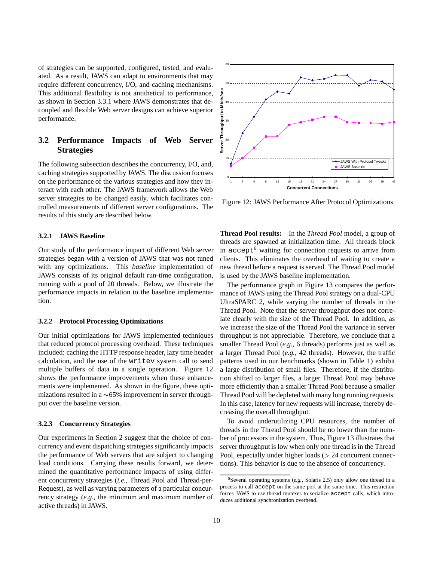of strategies can be supported, configured, tested, and evaluated. As a result, JAWS can adapt to environments that may require different concurrency, I/O, and caching mechanisms. This additional flexibility is not antithetical to performance, as shown in Section 3.3.1 where JAWS demonstrates that decoupled and flexible Web server designs can achieve superior performance.

## **3.2 Performance Impacts of Web Server Strategies**

The following subsection describes the concurrency, I/O, and, caching strategies supported by JAWS. The discussion focuses on the performance of the various strategies and how they interact with each other. The JAWS framework allows the Web server strategies to be changed easily, which facilitates controlled measurements of different server configurations. The results of this study are described below.

#### **3.2.1 JAWS Baseline**

Our study of the performance impact of different Web server strategies began with a version of JAWS that was not tuned with any optimizations. This *baseline* implementation of JAWS consists of its original default run-time configuration, running with a pool of 20 threads. Below, we illustrate the performance impacts in relation to the baseline implementation.

#### **3.2.2 Protocol Processing Optimizations**

Our initial optimizations for JAWS implemented techniques that reduced protocol processing overhead. These techniques included: caching the HTTP response header, lazy time header calculation, and the use of the writev system call to send multiple buffers of data in a single operation. Figure 12 shows the performance improvements when these enhancements were implemented. As shown in the figure, these optimizations resulted in a  $\sim 65\%$  improvement in server throughput over the baseline version.

#### **3.2.3 Concurrency Strategies**

Our experiments in Section 2 suggest that the choice of concurrency and event dispatching strategies significantly impacts the performance of Web servers that are subject to changing load conditions. Carrying these results forward, we determined the quantitative performance impacts of using different concurrency strategies (*i.e.*, Thread Pool and Thread-per-Request), as well as varying parameters of a particular concurrency strategy (*e.g.*, the minimum and maximum number of active threads) in JAWS.



Figure 12: JAWS Performance After Protocol Optimizations

**Thread Pool results:** In the *Thread Pool* model, a group of threads are spawned at initialization time. All threads block in accept<sup>6</sup> waiting for connection requests to arrive from clients. This eliminates the overhead of waiting to create a new thread before a request is served. The Thread Pool model is used by the JAWS baseline implementation.

The performance graph in Figure 13 compares the performance of JAWS using the Thread Pool strategy on a dual-CPU UltraSPARC 2, while varying the number of threads in the Thread Pool. Note that the server throughput does not correlate clearly with the size of the Thread Pool. In addition, as we increase the size of the Thread Pool the variance in server throughput is not appreciable. Therefore, we conclude that a smaller Thread Pool (*e.g.*, 6 threads) performs just as well as a larger Thread Pool (*e.g.*, 42 threads). However, the traffic patterns used in our benchmarks (shown in Table 1) exhibit a large distribution of small files. Therefore, if the distribution shifted to larger files, a larger Thread Pool may behave more efficiently than a smaller Thread Pool because a smaller Thread Pool will be depleted with many long running requests. In this case, latency for new requests will increase, thereby decreasing the overall throughput.

To avoid underutilizing CPU resources, the number of threads in the Thread Pool should be no lower than the number of processors in the system. Thus, Figure 13 illustrates that server throughput is low when only one thread is in the Thread Pool, especially under higher loads  $(> 24$  concurrent connections). This behavior is due to the absence of concurrency.

<sup>&</sup>lt;sup>6</sup>Several operating systems  $(e.g.,$  Solaris 2.5) only allow one thread in a process to call accept on the same port at the same time. This restriction forces JAWS to use thread mutexes to serialize accept calls, which introduces additional synchronization overhead.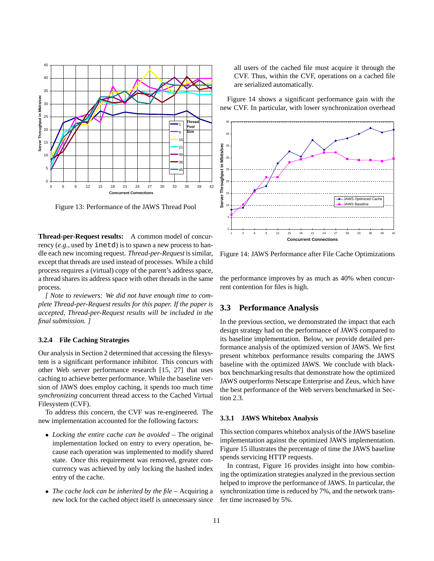

Figure 13: Performance of the JAWS Thread Pool

**Thread-per-Request results:** A common model of concurrency (*e.g.*, used by inetd) is to spawn a new process to handle each new incoming request. *Thread-per-Request* is similar, except that threads are used instead of processes. While a child process requires a (virtual) copy of the parent's address space, a thread shares its address space with other threads in the same process.

*[ Note to reviewers: We did not have enough time to complete Thread-per-Request results for this paper. If the paper is accepted, Thread-per-Request results will be included in the final submission. ]*

#### **3.2.4 File Caching Strategies**

Our analysis in Section 2 determined that accessing the filesystem is a significant performance inhibitor. This concurs with other Web server performance research [15, 27] that uses caching to achieve better performance. While the baseline version of JAWS does employ caching, it spends too much time *synchronizing* concurrent thread access to the Cached Virtual Filesystem (CVF).

To address this concern, the CVF was re-engineered. The new implementation accounted for the following factors:

- *Locking the entire cache can be avoided* The original implementation locked on entry to every operation, because each operation was implemented to modify shared state. Once this requirement was removed, greater concurrency was achieved by only locking the hashed index entry of the cache.
- *The cache lock can be inherited by the file* Acquiring a new lock for the cached object itself is unnecessary since

all users of the cached file must acquire it through the CVF. Thus, within the CVF, operations on a cached file are serialized automatically.

Figure 14 shows a significant performance gain with the new CVF. In particular, with lower synchronization overhead



Figure 14: JAWS Performance after File Cache Optimizations

the performance improves by as much as 40% when concurrent contention for files is high.

## **3.3 Performance Analysis**

In the previous section, we demonstrated the impact that each design strategy had on the performance of JAWS compared to its baseline implementation. Below, we provide detailed performance analysis of the optimized version of JAWS. We first present whitebox performance results comparing the JAWS baseline with the optimized JAWS. We conclude with blackbox benchmarking results that demonstrate how the optimized JAWS outperforms Netscape Enterprise and Zeus, which have the best performance of the Web servers benchmarked in Section 2.3.

#### **3.3.1 JAWS Whitebox Analysis**

This section compares whitebox analysis of the JAWS baseline implementation against the optimized JAWS implementation. Figure 15 illustrates the percentage of time the JAWS baseline spends servicing HTTP requests.

In contrast, Figure 16 provides insight into how combining the optimization strategies analyzed in the previous section helped to improve the performance of JAWS. In particular, the synchronization time is reduced by 7%, and the network transfer time increased by 5%.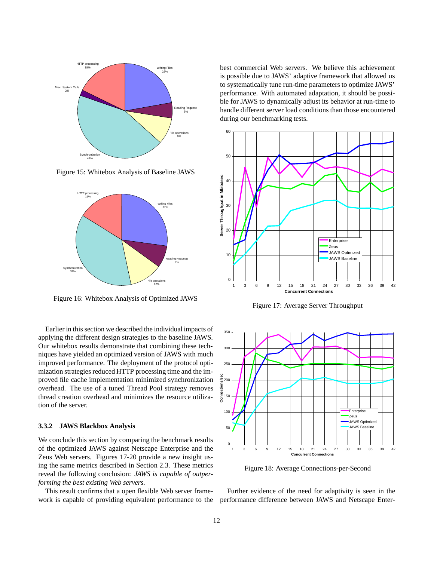

Figure 15: Whitebox Analysis of Baseline JAWS



Figure 16: Whitebox Analysis of Optimized JAWS

Earlier in this section we described the individual impacts of applying the different design strategies to the baseline JAWS. Our whitebox results demonstrate that combining these techniques have yielded an optimized version of JAWS with much improved performance. The deployment of the protocol optimization strategies reduced HTTP processing time and the improved file cache implementation minimized synchronization overhead. The use of a tuned Thread Pool strategy removes thread creation overhead and minimizes the resource utilization of the server.

#### **3.3.2 JAWS Blackbox Analysis**

We conclude this section by comparing the benchmark results of the optimized JAWS against Netscape Enterprise and the Zeus Web servers. Figures 17-20 provide a new insight using the same metrics described in Section 2.3. These metrics reveal the following conclusion: *JAWS is capable of outperforming the best existing Web servers*.

This result confirms that a open flexible Web server framework is capable of providing equivalent performance to the best commercial Web servers. We believe this achievement is possible due to JAWS' adaptive framework that allowed us to systematically tune run-time parameters to optimize JAWS' performance. With automated adaptation, it should be possible for JAWS to dynamically adjust its behavior at run-time to handle different server load conditions than those encountered during our benchmarking tests.



Figure 17: Average Server Throughput



Figure 18: Average Connections-per-Second

Further evidence of the need for adaptivity is seen in the performance difference between JAWS and Netscape Enter-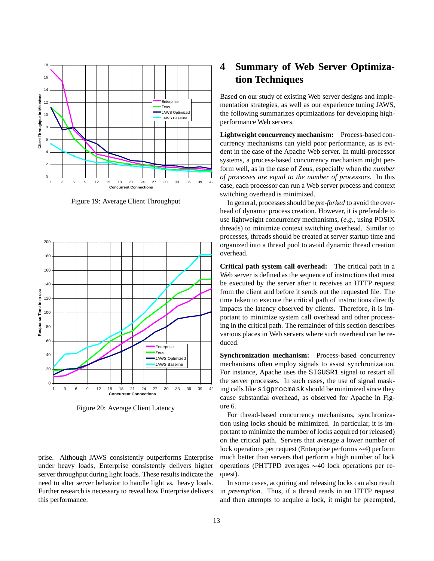

Figure 19: Average Client Throughput



Figure 20: Average Client Latency

prise. Although JAWS consistently outperforms Enterprise under heavy loads, Enterprise consistently delivers higher server throughput during light loads. These results indicate the need to alter server behavior to handle light *vs.* heavy loads. Further research is necessary to reveal how Enterprise delivers this performance.

# **4 Summary of Web Server Optimization Techniques**

Based on our study of existing Web server designs and implementation strategies, as well as our experience tuning JAWS, the following summarizes optimizations for developing highperformance Web servers.

**Lightweight concurrency mechanism:** Process-based concurrency mechanisms can yield poor performance, as is evident in the case of the Apache Web server. In multi-processor systems, a process-based concurrency mechanism might perform well, as in the case of Zeus, especially when the *number of processes are equal to the number of processors*. In this case, each processor can run a Web server process and context switching overhead is minimized.

In general, processes should be *pre-forked* to avoid the overhead of dynamic process creation. However, it is preferable to use lightweight concurrency mechanisms, (*e.g.*, using POSIX threads) to minimize context switching overhead. Similar to processes, threads should be created at server startup time and organized into a thread pool to avoid dynamic thread creation overhead.

**Critical path system call overhead:** The critical path in a Web server is defined as the sequence of instructions that must be executed by the server after it receives an HTTP request from the client and before it sends out the requested file. The time taken to execute the critical path of instructions directly impacts the latency observed by clients. Therefore, it is important to minimize system call overhead and other processing in the critical path. The remainder of this section describes various places in Web servers where such overhead can be reduced.

**Synchronization mechanism:** Process-based concurrency mechanisms often employ signals to assist synchronization. For instance, Apache uses the SIGUSR1 signal to restart all the server processes. In such cases, the use of signal masking calls like sigprocmask should be minimized since they cause substantial overhead, as observed for Apache in Figure 6.

For thread-based concurrency mechanisms, synchronization using locks should be minimized. In particular, it is important to minimize the number of locks acquired (or released) on the critical path. Servers that average a lower number of lock operations per request (Enterprise performs  $\sim$ 4) perform much better than servers that perform a high number of lock operations (PHTTPD averages  $\sim$  40 lock operations per request).

In some cases, acquiring and releasing locks can also result in *preemption*. Thus, if a thread reads in an HTTP request and then attempts to acquire a lock, it might be preempted,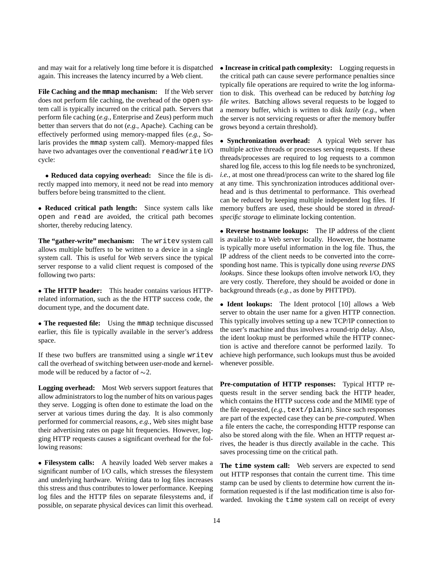and may wait for a relatively long time before it is dispatched again. This increases the latency incurred by a Web client.

**File Caching and the mmap mechanism:** If the Web server does not perform file caching, the overhead of the open system call is typically incurred on the critical path. Servers that perform file caching (*e.g.*, Enterprise and Zeus) perform much better than servers that do not (*e.g.*, Apache). Caching can be effectively performed using memory-mapped files (*e.g.*, Solaris provides the mmap system call). Memory-mapped files have two advantages over the conventional read/write I/O cycle:

 **Reduced data copying overhead:** Since the file is directly mapped into memory, it need not be read into memory buffers before being transmitted to the client.

 **Reduced critical path length:** Since system calls like open and read are avoided, the critical path becomes shorter, thereby reducing latency.

**The "gather-write" mechanism:** The writev system call allows multiple buffers to be written to a device in a single system call. This is useful for Web servers since the typical server response to a valid client request is composed of the following two parts:

 **The HTTP header:** This header contains various HTTPrelated information, such as the the HTTP success code, the document type, and the document date.

 **The requested file:** Using the mmap technique discussed earlier, this file is typically available in the server's address space.

If these two buffers are transmitted using a single writev call the overhead of switching between user-mode and kernelmode will be reduced by a factor of  $\sim$ 2.

**Logging overhead:** Most Web servers support features that allow administrators to log the number of hits on various pages they serve. Logging is often done to estimate the load on the server at various times during the day. It is also commonly performed for commercial reasons, *e.g.*, Web sites might base their advertising rates on page hit frequencies. However, logging HTTP requests causes a significant overhead for the following reasons:

 **Filesystem calls:** A heavily loaded Web server makes a significant number of I/O calls, which stresses the filesystem and underlying hardware. Writing data to log files increases this stress and thus contributes to lower performance. Keeping log files and the HTTP files on separate filesystems and, if possible, on separate physical devices can limit this overhead.

 **Increase in critical path complexity:** Logging requests in the critical path can cause severe performance penalties since typically file operations are required to write the log information to disk. This overhead can be reduced by *batching log file writes*. Batching allows several requests to be logged to a memory buffer, which is written to disk *lazily* (*e.g.*, when the server is not servicing requests or after the memory buffer grows beyond a certain threshold).

 **Synchronization overhead:** A typical Web server has multiple active threads or processes serving requests. If these threads/processes are required to log requests to a common shared log file, access to this log file needs to be synchronized, *i.e.*, at most one thread/process can write to the shared log file at any time. This synchronization introduces additional overhead and is thus detrimental to performance. This overhead can be reduced by keeping multiple independent log files. If memory buffers are used, these should be stored in *threadspecific storage* to eliminate locking contention.

 **Reverse hostname lookups:** The IP address of the client is available to a Web server locally. However, the hostname is typically more useful information in the log file. Thus, the IP address of the client needs to be converted into the corresponding host name. This is typically done using *reverse DNS lookups*. Since these lookups often involve network I/O, they are very costly. Therefore, they should be avoided or done in background threads (*e.g.*, as done by PHTTPD).

 **Ident lookups:** The Ident protocol [10] allows a Web server to obtain the user name for a given HTTP connection. This typically involves setting up a new TCP/IP connection to the user's machine and thus involves a round-trip delay. Also, the ident lookup must be performed while the HTTP connection is active and therefore cannot be performed lazily. To achieve high performance, such lookups must thus be avoided whenever possible.

**Pre-computation of HTTP responses:** Typical HTTP requests result in the server sending back the HTTP header, which contains the HTTP success code and the MIME type of the file requested, (*e.g.*, text/plain). Since such responses are part of the expected case they can be *pre-computed*. When a file enters the cache, the corresponding HTTP response can also be stored along with the file. When an HTTP request arrives, the header is thus directly available in the cache. This saves processing time on the critical path.

**The time system call:** Web servers are expected to send out HTTP responses that contain the current time. This time stamp can be used by clients to determine how current the information requested is if the last modification time is also forwarded. Invoking the time system call on receipt of every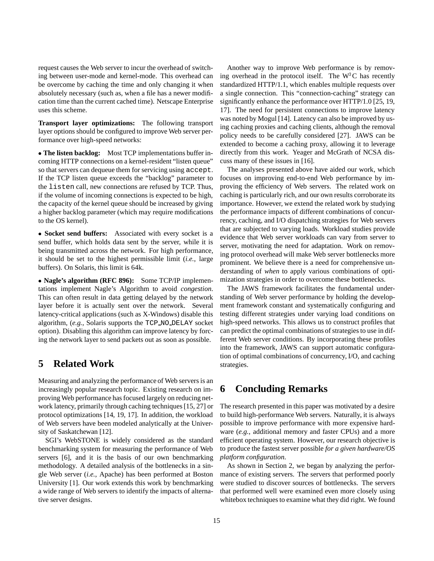request causes the Web server to incur the overhead of switching between user-mode and kernel-mode. This overhead can be overcome by caching the time and only changing it when absolutely necessary (such as, when a file has a newer modification time than the current cached time). Netscape Enterprise uses this scheme.

**Transport layer optimizations:** The following transport layer options should be configured to improve Web server performance over high-speed networks:

 **The listen backlog:** Most TCP implementations buffer incoming HTTP connections on a kernel-resident "listen queue" so that servers can dequeue them for servicing using accept. If the TCP listen queue exceeds the "backlog" parameter to the listen call, new connections are refused by TCP. Thus, if the volume of incoming connections is expected to be high, the capacity of the kernel queue should be increased by giving a higher backlog parameter (which may require modifications to the OS kernel).

 **Socket send buffers:** Associated with every socket is a send buffer, which holds data sent by the server, while it is being transmitted across the network. For high performance, it should be set to the highest permissible limit (*i.e.*, large buffers). On Solaris, this limit is 64k.

 **Nagle's algorithm (RFC 896):** Some TCP/IP implementations implement Nagle's Algorithm to avoid *congestion*. This can often result in data getting delayed by the network layer before it is actually sent over the network. Several latency-critical applications (such as X-Windows) disable this algorithm, (*e.g.*, Solaris supports the TCP NO DELAY socket option). Disabling this algorithm can improve latency by forcing the network layer to send packets out as soon as possible.

# **5 Related Work**

Measuring and analyzing the performance of Web servers is an increasingly popular research topic. Existing research on improving Web performance has focused largely on reducing network latency, primarily through caching techniques [15, 27] or protocol optimizations [14, 19, 17]. In addition, the workload of Web servers have been modeled analytically at the University of Saskatchewan [12].

SGI's WebSTONE is widely considered as the standard benchmarking system for measuring the performance of Web servers [6], and it is the basis of our own benchmarking methodology. A detailed analysis of the bottlenecks in a single Web server (*i.e.*, Apache) has been performed at Boston University [1]. Our work extends this work by benchmarking a wide range of Web servers to identify the impacts of alternative server designs.

Another way to improve Web performance is by removing overhead in the protocol itself. The  $W<sup>3</sup>C$  has recently standardized HTTP/1.1, which enables multiple requests over a single connection. This "connection-caching" strategy can significantly enhance the performance over HTTP/1.0 [25, 19, 17]. The need for persistent connections to improve latency was noted by Mogul [14]. Latency can also be improved by using caching proxies and caching clients, although the removal policy needs to be carefully considered [27]. JAWS can be extended to become a caching proxy, allowing it to leverage directly from this work. Yeager and McGrath of NCSA discuss many of these issues in [16].

The analyses presented above have aided our work, which focuses on improving end-to-end Web performance by improving the efficiency of Web servers. The related work on caching is particularly rich, and our own results corroborate its importance. However, we extend the related work by studying the performance impacts of different combinations of concurrency, caching, and I/O dispatching strategies for Web servers that are subjected to varying loads. Workload studies provide evidence that Web server workloads can vary from server to server, motivating the need for adaptation. Work on removing protocol overhead will make Web server bottlenecks more prominent. We believe there is a need for comprehensive understanding of *when* to apply various combinations of optimization strategies in order to overcome these bottlenecks.

The JAWS framework facilitates the fundamental understanding of Web server performance by holding the development framework constant and systematically configuring and testing different strategies under varying load conditions on high-speed networks. This allows us to construct profiles that can predict the optimal combinations of strategies to use in different Web server conditions. By incorporating these profiles into the framework, JAWS can support automatic configuration of optimal combinations of concurrency, I/O, and caching strategies.

# **6 Concluding Remarks**

The research presented in this paper was motivated by a desire to build high-performance Web servers. Naturally, it is always possible to improve performance with more expensive hardware (*e.g.*, additional memory and faster CPUs) and a more efficient operating system. However, our research objective is to produce the fastest server possible *for a given hardware/OS platform configuration*.

As shown in Section 2, we began by analyzing the performance of existing servers. The servers that performed poorly were studied to discover sources of bottlenecks. The servers that performed well were examined even more closely using whitebox techniques to examine what they did right. We found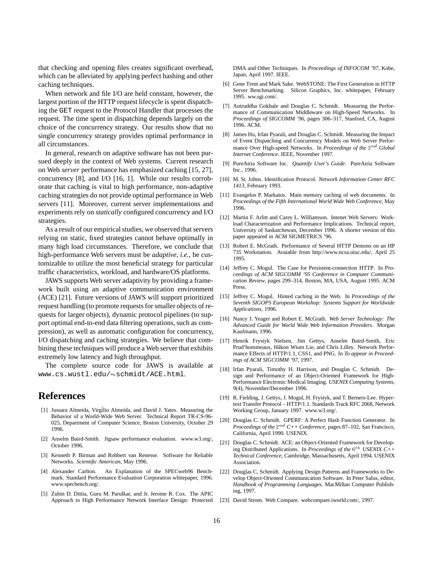that checking and opening files creates significant overhead, which can be alleviated by applying perfect hashing and other caching techniques.

When network and file I/O are held constant, however, the largest portion of the HTTP request lifecycle is spent dispatching the GET request to the Protocol Handler that processes the request. The time spent in dispatching depends largely on the choice of the concurrency strategy. Our results show that no single concurrency strategy provides optimal performance in all circumstances.

In general, research on adaptive software has not been pursued deeply in the context of Web systems. Current research on Web *server* performance has emphasized caching [15, 27], concurrency [8], and I/O [16, 1]. While our results corroborate that caching is vital to high performance, non-adaptive caching strategies do not provide optimal performance in Web servers [11]. Moreover, current server implementations and experiments rely on *statically* configured concurrency and I/O strategies.

As a result of our empirical studies, we observed that servers relying on static, fixed strategies cannot behave optimally in many high load circumstances. Therefore, we conclude that high-performance Web servers must be *adaptive*, *i.e.*, be customizable to utilize the most beneficial strategy for particular traffic characteristics, workload, and hardware/OS platforms.

JAWS supports Web server adaptivity by providing a framework built using an adaptive communication environment (ACE) [21]. Future versions of JAWS will support prioritized request handling (to promote requests for smaller objects of requests for larger objects), dynamic protocol pipelines (to support optimal end-to-end data filtering operations, such as compression), as well as automatic configuration for concurrency, I/O dispatching and caching strategies. We believe that combining these techniques will produce a Web server that exhibits extremely low latency and high throughput.

The complete source code for JAWS is available at www.cs.wustl.edu/~schmidt/ACE.html.

## **References**

- [1] Jussara Almeida, Virg´ilio Almeida, and David J. Yates. Measuring the Behavior of a World-Wide Web Server. Technical Report TR-CS-96- 025, Department of Computer Science, Boston University, October 29 1996.
- [2] Anselm Baird-Smith. Jigsaw performance evaluation. www.w3.org/, October 1996.
- [3] Kenneth P. Birman and Robbert van Renesse. Software for Reliable Networks. *Scientific American*, May 1996.
- [4] Alexander Carlton. An Explanation of the SPECweb96 Benchmark. Standard Performance Evaluation Corporation whitepaper, 1996. www.specbench.org/.
- [5] Zubin D. Dittia, Guru M. Parulkar, and Jr. Jerome R. Cox. The APIC Approach to High Performance Network Interface Design: Protected

DMA and Other Techniques. In *Proceedings of INFOCOM '97*, Kobe, Japan, April 1997. IEEE.

- [6] Gene Trent and Mark Sake. WebSTONE: The First Generation in HTTP Server Benchmarking. Silicon Graphics, Inc. whitepaper, February 1995. ww.sgi.com/.
- [7] Aniruddha Gokhale and Douglas C. Schmidt. Measuring the Performance of Communication Middleware on High-Speed Networks. In *Proceedings of SIGCOMM '96*, pages 306–317, Stanford, CA, August 1996. ACM.
- [8] James Hu, Irfan Pyarali, and Douglas C. Schmidt. Measuring the Impact of Event Dispatching and Concurrency Models on Web Server Performance Over High-speed Networks. In *Proceedings of the*  $2^{nd}$  *Global Internet Conference*. IEEE, November 1997.
- [9] PureAtria Software Inc. *Quantify User's Guide*. PureAtria Software Inc., 1996.
- [10] M. St. Johns. Identification Protocol. *Network Information Center RFC 1413*, February 1993.
- [11] Evangelos P. Markatos. Main memory caching of web documents. In *Proceedings of the Fifth International World Wide Web Conference*, May 1996.
- [12] Martin F. Arlitt and Carey L. Williamson. Intenet Web Servers: Workload Characterization and Performance Implications. Technical report, University of Saskatchewan, December 1996. A shorter version of this paper appeared in ACM SIGMETRICS '96.
- [13] Robert E. McGrath. Performance of Several HTTP Demons on an HP 735 Workstation. Avaiable from http://www.ncsa.uiuc.edu/, April 25 1995.
- [14] Jeffrey C. Mogul. The Case for Persistent-connection HTTP. In *Proceedings of ACM SIGCOMM '95 Conference in Computer Communication Review*, pages 299–314, Boston, MA, USA, August 1995. ACM Press.
- [15] Jeffrey C. Mogul. Hinted caching in the Web. In *Proceedings of the Seventh SIGOPS European Workshop: Systems Support for Worldwide Applications*, 1996.
- [16] Nancy J. Yeager and Robert E. McGrath. *Web Server Technology: The Advanced Guide for World Wide Web Information Providers*. Morgan Kaufmann, 1996.
- [17] Henrik Frystyk Nielsen, Jim Gettys, Anselm Baird-Smith, Eric Prud'hommeaux, Håkon Wium Lie, and Chris Lilley. Network Performance Effects of HTTP/1.1, CSS1, and PNG. In *To appear in Proceedings of ACM SIGCOMM '97*, 1997.
- [18] Irfan Pyarali, Timothy H. Harrison, and Douglas C. Schmidt. Design and Performance of an Object-Oriented Framework for High-Performance Electronic Medical Imaging. *USENIX Computing Systems*, 9(4), November/December 1996.
- [19] R. Fielding, J. Gettys, J. Mogul, H. Frystyk, and T. Berners-Lee. Hypertext Transfer Protocol – HTTP/1.1. Standards Track RFC 2068, Network Working Group, January 1997. www.w3.org/.
- [20] Douglas C. Schmidt. GPERF: A Perfect Hash Function Generator. In *Proceedings of the* <sup>2</sup>nd *C++ Conference*, pages 87–102, San Francisco, California, April 1990. USENIX.
- [21] Douglas C. Schmidt. ACE: an Object-Oriented Framework for Developing Distributed Applications. In *Proceedings of the* <sup>6</sup>th *USENIX C++ Technical Conference*, Cambridge, Massachusetts, April 1994. USENIX Association.
- [22] Douglas C. Schmidt. Applying Design Patterns and Frameworks to Develop Object-Oriented Communication Software. In Peter Salus, editor, *Handbook of Programming Languages*. MacMillan Computer Publishing, 1997.
- [23] David Strom. Web Compare. webcompare.iworld.com/, 1997.